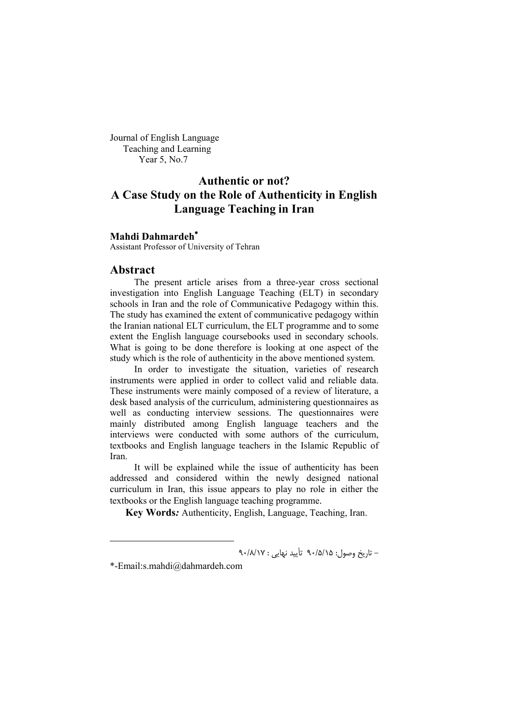Journal of English Language Teaching and Learning Year 5, No.7

# **Authentic or not? A Case Study on the Role of Authenticity in English Language Teaching in Iran**

#### **Mahdi Dahmardeh**

Assistant Professor of University of Tehran

#### **Abstract**

The present article arises from a three-year cross sectional investigation into English Language Teaching (ELT) in secondary schools in Iran and the role of Communicative Pedagogy within this. The study has examined the extent of communicative pedagogy within the Iranian national ELT curriculum, the ELT programme and to some extent the English language coursebooks used in secondary schools. What is going to be done therefore is looking at one aspect of the study which is the role of authenticity in the above mentioned system.

In order to investigate the situation, varieties of research instruments were applied in order to collect valid and reliable data. These instruments were mainly composed of a review of literature, a desk based analysis of the curriculum, administering questionnaires as well as conducting interview sessions. The questionnaires were mainly distributed among English language teachers and the interviews were conducted with some authors of the curriculum, textbooks and English language teachers in the Islamic Republic of Iran.

It will be explained while the issue of authenticity has been addressed and considered within the newly designed national curriculum in Iran, this issue appears to play no role in either the textbooks or the English language teaching programme.

 **Key Words***:* Authenticity, English, Language, Teaching, Iran.

- تاریخ وصول: 15 /5/ 90 تأیید نهایی : 17 /8/ 90

1

<sup>\*-</sup>Email:s.mahdi@dahmardeh.com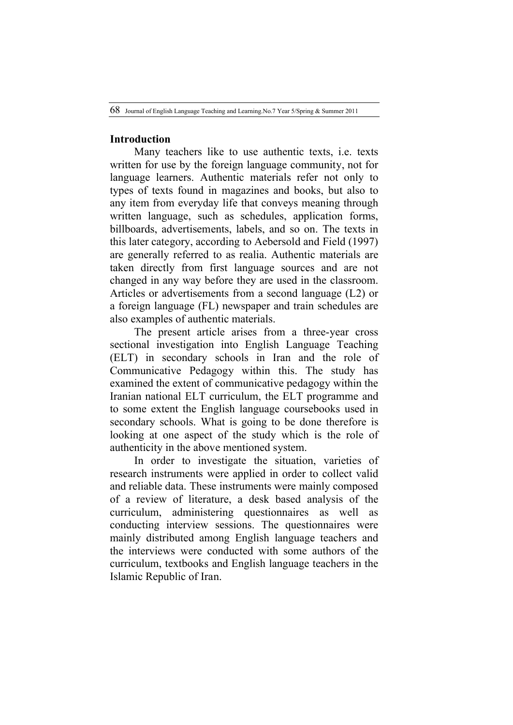### **Introduction**

Many teachers like to use authentic texts, i.e. texts written for use by the foreign language community, not for language learners. Authentic materials refer not only to types of texts found in magazines and books, but also to any item from everyday life that conveys meaning through written language, such as schedules, application forms, billboards, advertisements, labels, and so on. The texts in this later category, according to Aebersold and Field (1997) are generally referred to as realia. Authentic materials are taken directly from first language sources and are not changed in any way before they are used in the classroom. Articles or advertisements from a second language (L2) or a foreign language (FL) newspaper and train schedules are also examples of authentic materials.

The present article arises from a three-year cross sectional investigation into English Language Teaching (ELT) in secondary schools in Iran and the role of Communicative Pedagogy within this. The study has examined the extent of communicative pedagogy within the Iranian national ELT curriculum, the ELT programme and to some extent the English language coursebooks used in secondary schools. What is going to be done therefore is looking at one aspect of the study which is the role of authenticity in the above mentioned system.

In order to investigate the situation, varieties of research instruments were applied in order to collect valid and reliable data. These instruments were mainly composed of a review of literature, a desk based analysis of the curriculum, administering questionnaires as well as conducting interview sessions. The questionnaires were mainly distributed among English language teachers and the interviews were conducted with some authors of the curriculum, textbooks and English language teachers in the Islamic Republic of Iran.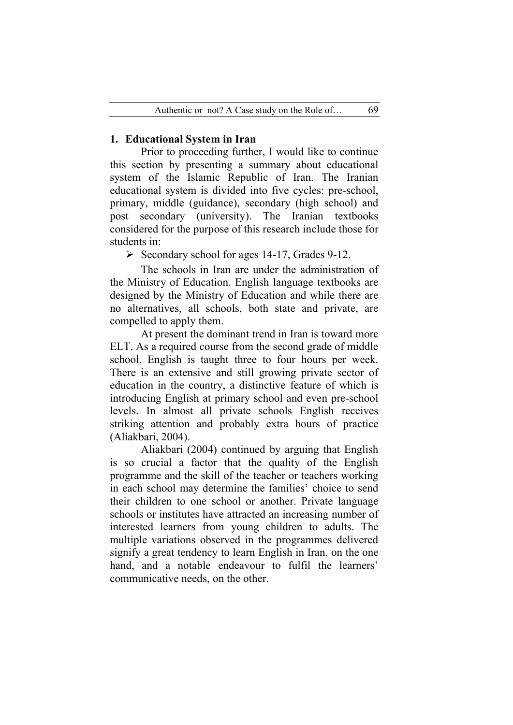# **1. Educational System in Iran**

Prior to proceeding further, I would like to continue this section by presenting a summary about educational system of the Islamic Republic of Iran. The Iranian educational system is divided into five cycles: pre-school, primary, middle (guidance), secondary (high school) and post secondary (university). The Iranian textbooks considered for the purpose of this research include those for students in:

 $\triangleright$  Secondary school for ages 14-17, Grades 9-12.

The schools in Iran are under the administration of the Ministry of Education. English language textbooks are designed by the Ministry of Education and while there are no alternatives, all schools, both state and private, are compelled to apply them.

At present the dominant trend in Iran is toward more ELT. As a required course from the second grade of middle school, English is taught three to four hours per week. There is an extensive and still growing private sector of education in the country, a distinctive feature of which is introducing English at primary school and even pre-school levels. In almost all private schools English receives striking attention and probably extra hours of practice (Aliakbari, 2004).

Aliakbari (2004) continued by arguing that English is so crucial a factor that the quality of the English programme and the skill of the teacher or teachers working in each school may determine the families' choice to send their children to one school or another. Private language schools or institutes have attracted an increasing number of interested learners from young children to adults. The multiple variations observed in the programmes delivered signify a great tendency to learn English in Iran, on the one hand, and a notable endeavour to fulfil the learners' communicative needs, on the other.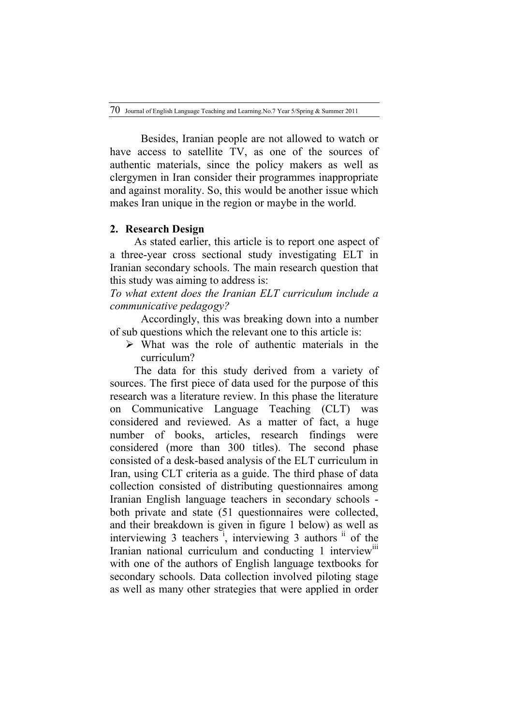Besides, Iranian people are not allowed to watch or have access to satellite TV, as one of the sources of authentic materials, since the policy makers as well as clergymen in Iran consider their programmes inappropriate and against morality. So, this would be another issue which makes Iran unique in the region or maybe in the world.

#### **2. Research Design**

As stated earlier, this article is to report one aspect of a three-year cross sectional study investigating ELT in Iranian secondary schools. The main research question that this study was aiming to address is:

*To what extent does the Iranian ELT curriculum include a communicative pedagogy?*

Accordingly, this was breaking down into a number of sub questions which the relevant one to this article is:

 $\triangleright$  What was the role of authentic materials in the curriculum?

The data for this study derived from a variety of sources. The first piece of data used for the purpose of this research was a literature review. In this phase the literature on Communicative Language Teaching (CLT) was considered and reviewed. As a matter of fact, a huge number of books, articles, research findings were considered (more than 300 titles). The second phase consisted of a desk-based analysis of the ELT curriculum in Iran, using CLT criteria as a guide. The third phase of data collection consisted of distributing questionnaires among Iranian English language teachers in secondary schools both private and state (51 questionnaires were collected, and their breakdown is given in figure 1 below) as well as interviewing  $3$  teachers<sup>i</sup>, interviewing  $3$  authors<sup>ii</sup> of the Iranian national curriculum and conducting 1 interview<sup>iii</sup> with one of the authors of English language textbooks for secondary schools. Data collection involved piloting stage as well as many other strategies that were applied in order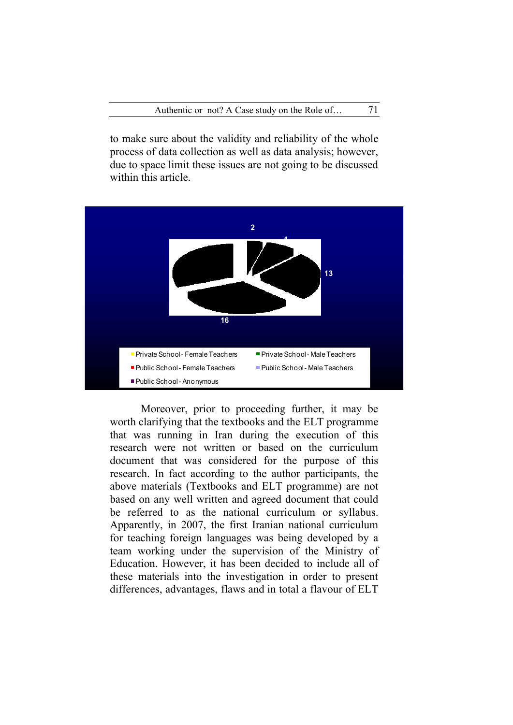to make sure about the validity and reliability of the whole process of data collection as well as data analysis; however, due to space limit these issues are not going to be discussed within this article.



Moreover, prior to proceeding further, it may be worth clarifying that the textbooks and the ELT programme that was running in Iran during the execution of this research were not written or based on the curriculum document that was considered for the purpose of this research. In fact according to the author participants, the above materials (Textbooks and ELT programme) are not based on any well written and agreed document that could be referred to as the national curriculum or syllabus. Apparently, in 2007, the first Iranian national curriculum for teaching foreign languages was being developed by a team working under the supervision of the Ministry of Education. However, it has been decided to include all of these materials into the investigation in order to present differences, advantages, flaws and in total a flavour of ELT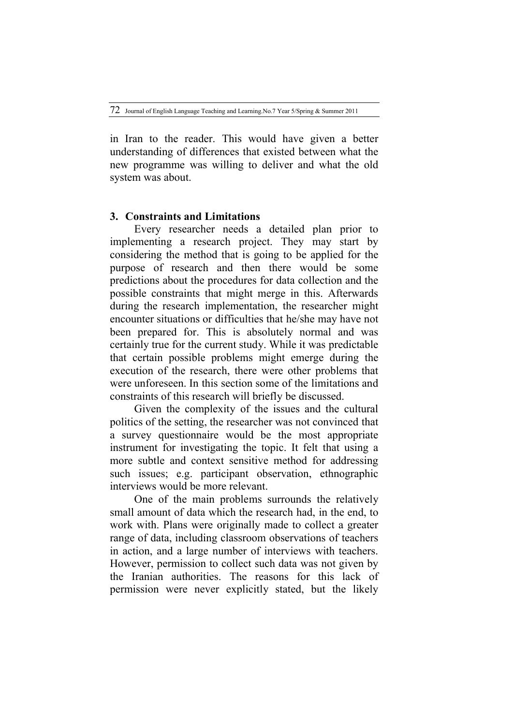in Iran to the reader. This would have given a better understanding of differences that existed between what the new programme was willing to deliver and what the old system was about.

## **3. Constraints and Limitations**

Every researcher needs a detailed plan prior to implementing a research project. They may start by considering the method that is going to be applied for the purpose of research and then there would be some predictions about the procedures for data collection and the possible constraints that might merge in this. Afterwards during the research implementation, the researcher might encounter situations or difficulties that he/she may have not been prepared for. This is absolutely normal and was certainly true for the current study. While it was predictable that certain possible problems might emerge during the execution of the research, there were other problems that were unforeseen. In this section some of the limitations and constraints of this research will briefly be discussed.

Given the complexity of the issues and the cultural politics of the setting, the researcher was not convinced that a survey questionnaire would be the most appropriate instrument for investigating the topic. It felt that using a more subtle and context sensitive method for addressing such issues; e.g. participant observation, ethnographic interviews would be more relevant.

One of the main problems surrounds the relatively small amount of data which the research had, in the end, to work with. Plans were originally made to collect a greater range of data, including classroom observations of teachers in action, and a large number of interviews with teachers. However, permission to collect such data was not given by the Iranian authorities. The reasons for this lack of permission were never explicitly stated, but the likely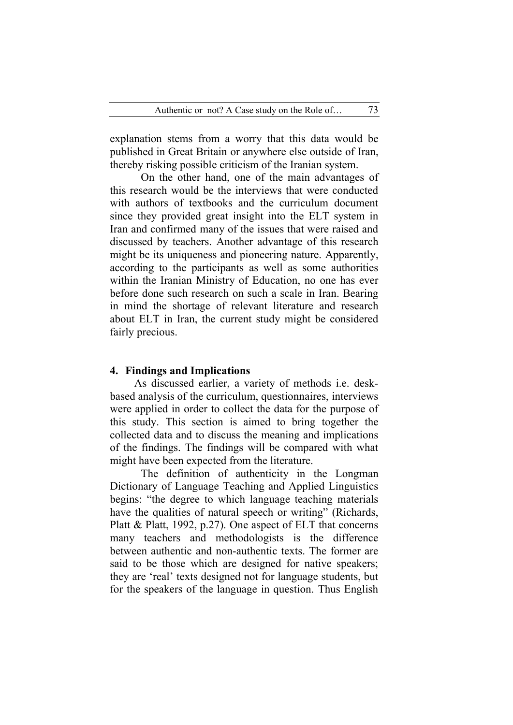explanation stems from a worry that this data would be published in Great Britain or anywhere else outside of Iran, thereby risking possible criticism of the Iranian system.

On the other hand, one of the main advantages of this research would be the interviews that were conducted with authors of textbooks and the curriculum document since they provided great insight into the ELT system in Iran and confirmed many of the issues that were raised and discussed by teachers. Another advantage of this research might be its uniqueness and pioneering nature. Apparently, according to the participants as well as some authorities within the Iranian Ministry of Education, no one has ever before done such research on such a scale in Iran. Bearing in mind the shortage of relevant literature and research about ELT in Iran, the current study might be considered fairly precious.

#### **4. Findings and Implications**

As discussed earlier, a variety of methods i.e. deskbased analysis of the curriculum, questionnaires, interviews were applied in order to collect the data for the purpose of this study. This section is aimed to bring together the collected data and to discuss the meaning and implications of the findings. The findings will be compared with what might have been expected from the literature.

The definition of authenticity in the Longman Dictionary of Language Teaching and Applied Linguistics begins: "the degree to which language teaching materials have the qualities of natural speech or writing" (Richards, Platt & Platt, 1992, p.27). One aspect of ELT that concerns many teachers and methodologists is the difference between authentic and non-authentic texts. The former are said to be those which are designed for native speakers; they are 'real' texts designed not for language students, but for the speakers of the language in question. Thus English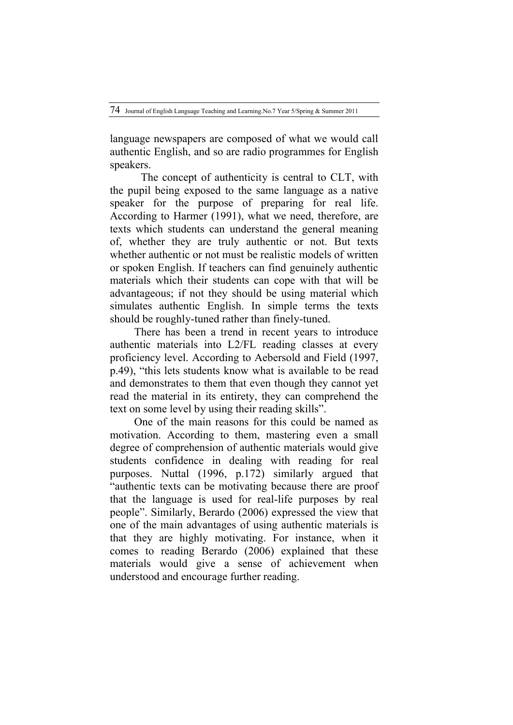language newspapers are composed of what we would call authentic English, and so are radio programmes for English speakers.

The concept of authenticity is central to CLT, with the pupil being exposed to the same language as a native speaker for the purpose of preparing for real life. According to Harmer (1991), what we need, therefore, are texts which students can understand the general meaning of, whether they are truly authentic or not. But texts whether authentic or not must be realistic models of written or spoken English. If teachers can find genuinely authentic materials which their students can cope with that will be advantageous; if not they should be using material which simulates authentic English. In simple terms the texts should be roughly-tuned rather than finely-tuned.

There has been a trend in recent years to introduce authentic materials into L2/FL reading classes at every proficiency level. According to Aebersold and Field (1997, p.49), "this lets students know what is available to be read and demonstrates to them that even though they cannot yet read the material in its entirety, they can comprehend the text on some level by using their reading skills".

One of the main reasons for this could be named as motivation. According to them, mastering even a small degree of comprehension of authentic materials would give students confidence in dealing with reading for real purposes. Nuttal (1996, p.172) similarly argued that "authentic texts can be motivating because there are proof that the language is used for real-life purposes by real people". Similarly, Berardo (2006) expressed the view that one of the main advantages of using authentic materials is that they are highly motivating. For instance, when it comes to reading Berardo (2006) explained that these materials would give a sense of achievement when understood and encourage further reading.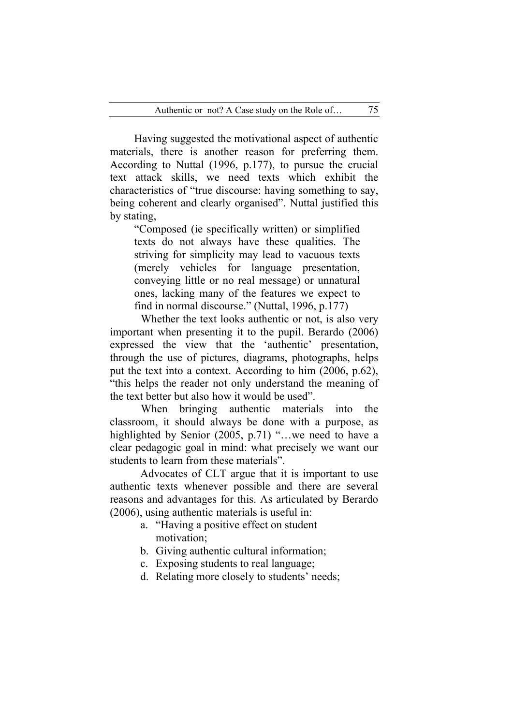Having suggested the motivational aspect of authentic materials, there is another reason for preferring them. According to Nuttal (1996, p.177), to pursue the crucial text attack skills, we need texts which exhibit the characteristics of "true discourse: having something to say, being coherent and clearly organised". Nuttal justified this by stating,

"Composed (ie specifically written) or simplified texts do not always have these qualities. The striving for simplicity may lead to vacuous texts (merely vehicles for language presentation, conveying little or no real message) or unnatural ones, lacking many of the features we expect to find in normal discourse." (Nuttal, 1996, p.177)

Whether the text looks authentic or not, is also very important when presenting it to the pupil. Berardo (2006) expressed the view that the 'authentic' presentation, through the use of pictures, diagrams, photographs, helps put the text into a context. According to him (2006, p.62), "this helps the reader not only understand the meaning of the text better but also how it would be used".

When bringing authentic materials into the classroom, it should always be done with a purpose, as highlighted by Senior (2005, p.71) "…we need to have a clear pedagogic goal in mind: what precisely we want our students to learn from these materials".

Advocates of CLT argue that it is important to use authentic texts whenever possible and there are several reasons and advantages for this. As articulated by Berardo (2006), using authentic materials is useful in:

- a. "Having a positive effect on student motivation;
- b. Giving authentic cultural information;
- c. Exposing students to real language;
- d. Relating more closely to students' needs;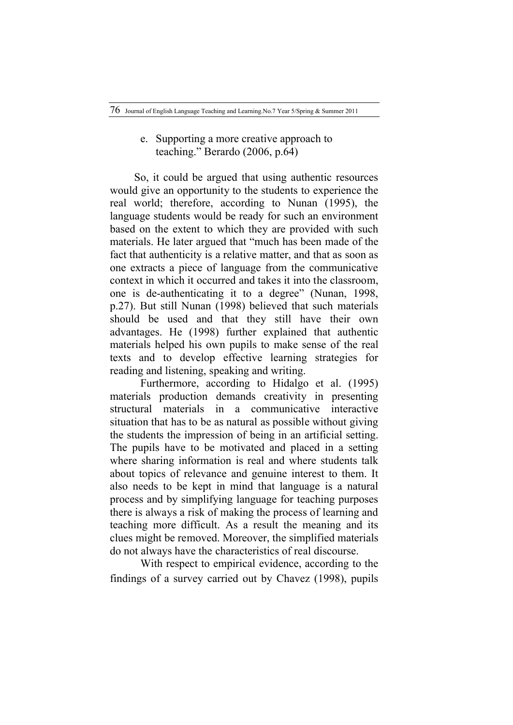# e. Supporting a more creative approach to teaching." Berardo (2006, p.64)

So, it could be argued that using authentic resources would give an opportunity to the students to experience the real world; therefore, according to Nunan (1995), the language students would be ready for such an environment based on the extent to which they are provided with such materials. He later argued that "much has been made of the fact that authenticity is a relative matter, and that as soon as one extracts a piece of language from the communicative context in which it occurred and takes it into the classroom, one is de-authenticating it to a degree" (Nunan, 1998, p.27). But still Nunan (1998) believed that such materials should be used and that they still have their own advantages. He (1998) further explained that authentic materials helped his own pupils to make sense of the real texts and to develop effective learning strategies for reading and listening, speaking and writing.

Furthermore, according to Hidalgo et al. (1995) materials production demands creativity in presenting structural materials in a communicative interactive situation that has to be as natural as possible without giving the students the impression of being in an artificial setting. The pupils have to be motivated and placed in a setting where sharing information is real and where students talk about topics of relevance and genuine interest to them. It also needs to be kept in mind that language is a natural process and by simplifying language for teaching purposes there is always a risk of making the process of learning and teaching more difficult. As a result the meaning and its clues might be removed. Moreover, the simplified materials do not always have the characteristics of real discourse.

With respect to empirical evidence, according to the findings of a survey carried out by Chavez (1998), pupils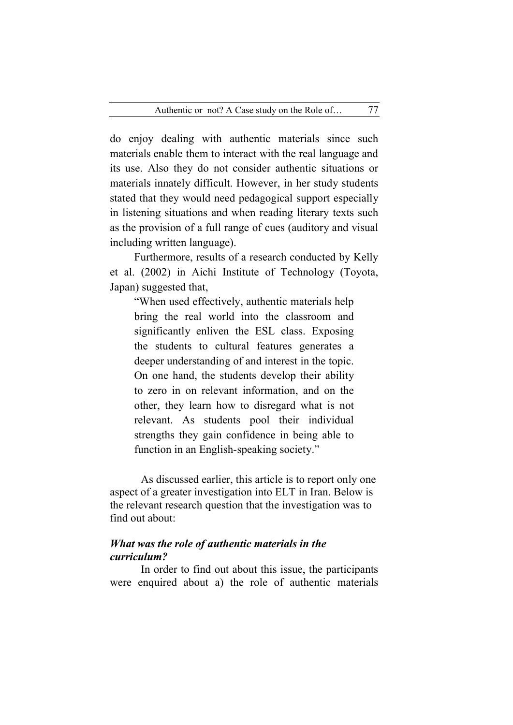do enjoy dealing with authentic materials since such materials enable them to interact with the real language and its use. Also they do not consider authentic situations or materials innately difficult. However, in her study students stated that they would need pedagogical support especially in listening situations and when reading literary texts such as the provision of a full range of cues (auditory and visual including written language).

Furthermore, results of a research conducted by Kelly et al. (2002) in Aichi Institute of Technology (Toyota, Japan) suggested that,

"When used effectively, authentic materials help bring the real world into the classroom and significantly enliven the ESL class. Exposing the students to cultural features generates a deeper understanding of and interest in the topic. On one hand, the students develop their ability to zero in on relevant information, and on the other, they learn how to disregard what is not relevant. As students pool their individual strengths they gain confidence in being able to function in an English-speaking society."

As discussed earlier, this article is to report only one aspect of a greater investigation into ELT in Iran. Below is the relevant research question that the investigation was to find out about:

# *What was the role of authentic materials in the curriculum?*

In order to find out about this issue, the participants were enquired about a) the role of authentic materials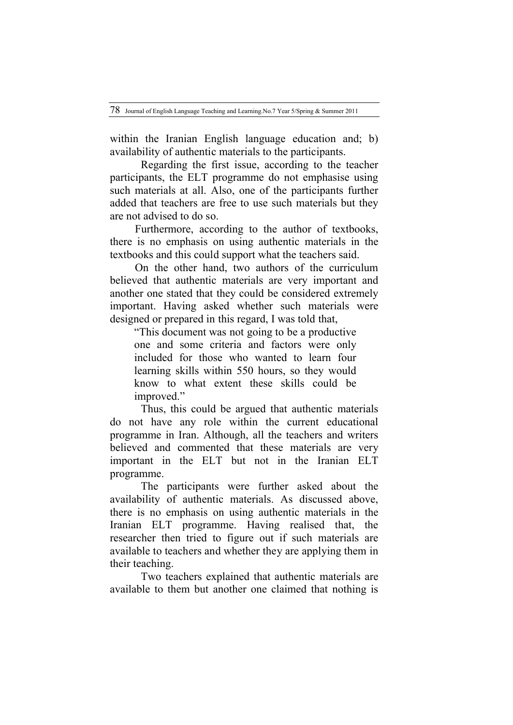within the Iranian English language education and; b) availability of authentic materials to the participants.

Regarding the first issue, according to the teacher participants, the ELT programme do not emphasise using such materials at all. Also, one of the participants further added that teachers are free to use such materials but they are not advised to do so.

 Furthermore, according to the author of textbooks, there is no emphasis on using authentic materials in the textbooks and this could support what the teachers said.

 On the other hand, two authors of the curriculum believed that authentic materials are very important and another one stated that they could be considered extremely important. Having asked whether such materials were designed or prepared in this regard, I was told that,

"This document was not going to be a productive one and some criteria and factors were only included for those who wanted to learn four learning skills within 550 hours, so they would know to what extent these skills could be improved."

Thus, this could be argued that authentic materials do not have any role within the current educational programme in Iran. Although, all the teachers and writers believed and commented that these materials are very important in the ELT but not in the Iranian ELT programme.

The participants were further asked about the availability of authentic materials. As discussed above, there is no emphasis on using authentic materials in the Iranian ELT programme. Having realised that, the researcher then tried to figure out if such materials are available to teachers and whether they are applying them in their teaching.

Two teachers explained that authentic materials are available to them but another one claimed that nothing is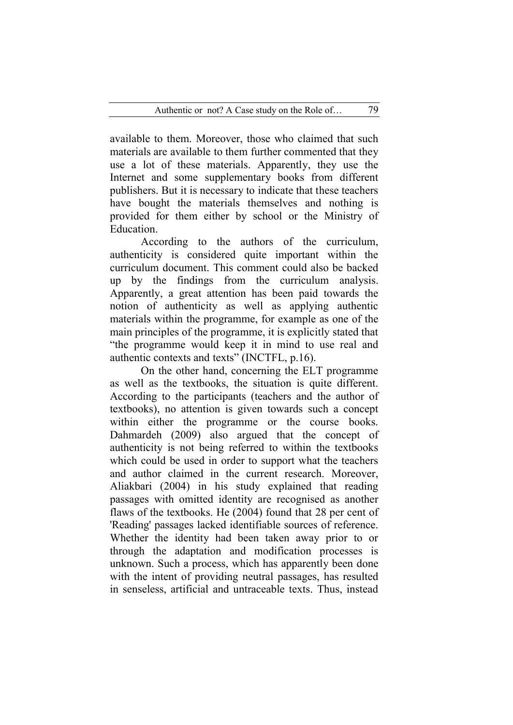available to them. Moreover, those who claimed that such materials are available to them further commented that they use a lot of these materials. Apparently, they use the Internet and some supplementary books from different publishers. But it is necessary to indicate that these teachers have bought the materials themselves and nothing is provided for them either by school or the Ministry of Education.

According to the authors of the curriculum, authenticity is considered quite important within the curriculum document. This comment could also be backed up by the findings from the curriculum analysis. Apparently, a great attention has been paid towards the notion of authenticity as well as applying authentic materials within the programme, for example as one of the main principles of the programme, it is explicitly stated that "the programme would keep it in mind to use real and authentic contexts and texts" (INCTFL, p.16).

On the other hand, concerning the ELT programme as well as the textbooks, the situation is quite different. According to the participants (teachers and the author of textbooks), no attention is given towards such a concept within either the programme or the course books. Dahmardeh (2009) also argued that the concept of authenticity is not being referred to within the textbooks which could be used in order to support what the teachers and author claimed in the current research. Moreover, Aliakbari (2004) in his study explained that reading passages with omitted identity are recognised as another flaws of the textbooks. He (2004) found that 28 per cent of 'Reading' passages lacked identifiable sources of reference. Whether the identity had been taken away prior to or through the adaptation and modification processes is unknown. Such a process, which has apparently been done with the intent of providing neutral passages, has resulted in senseless, artificial and untraceable texts. Thus, instead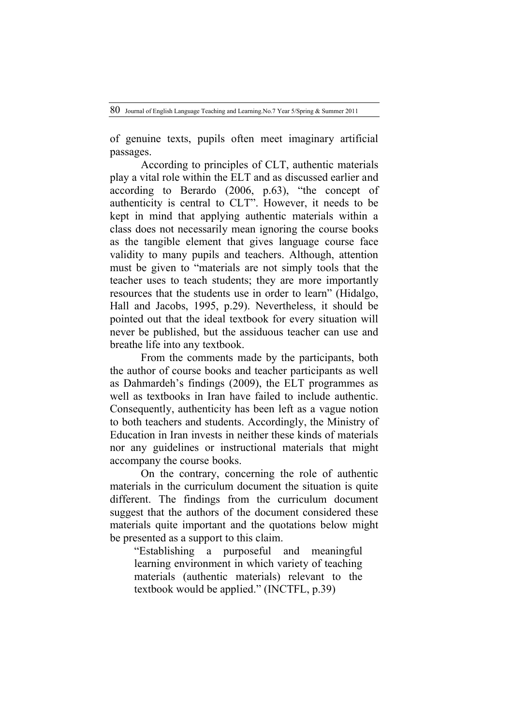of genuine texts, pupils often meet imaginary artificial passages.

According to principles of CLT, authentic materials play a vital role within the ELT and as discussed earlier and according to Berardo (2006, p.63), "the concept of authenticity is central to CLT". However, it needs to be kept in mind that applying authentic materials within a class does not necessarily mean ignoring the course books as the tangible element that gives language course face validity to many pupils and teachers. Although, attention must be given to "materials are not simply tools that the teacher uses to teach students; they are more importantly resources that the students use in order to learn" (Hidalgo, Hall and Jacobs, 1995, p.29). Nevertheless, it should be pointed out that the ideal textbook for every situation will never be published, but the assiduous teacher can use and breathe life into any textbook.

From the comments made by the participants, both the author of course books and teacher participants as well as Dahmardeh's findings (2009), the ELT programmes as well as textbooks in Iran have failed to include authentic. Consequently, authenticity has been left as a vague notion to both teachers and students. Accordingly, the Ministry of Education in Iran invests in neither these kinds of materials nor any guidelines or instructional materials that might accompany the course books.

On the contrary, concerning the role of authentic materials in the curriculum document the situation is quite different. The findings from the curriculum document suggest that the authors of the document considered these materials quite important and the quotations below might be presented as a support to this claim.

"Establishing a purposeful and meaningful learning environment in which variety of teaching materials (authentic materials) relevant to the textbook would be applied." (INCTFL, p.39)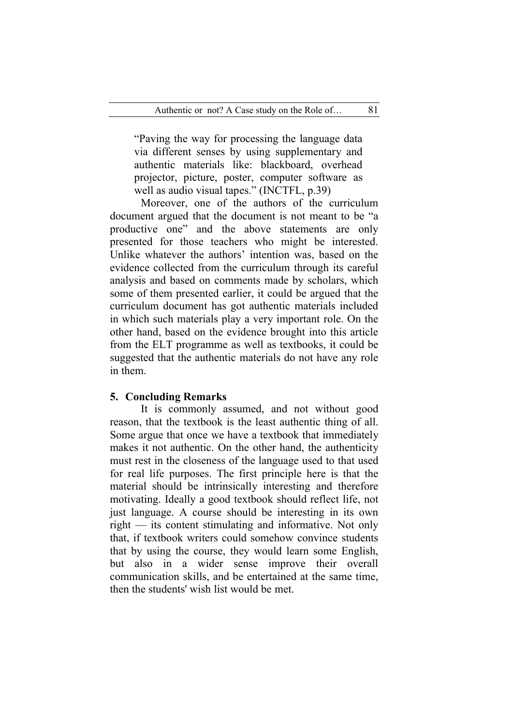"Paving the way for processing the language data via different senses by using supplementary and authentic materials like: blackboard, overhead projector, picture, poster, computer software as well as audio visual tapes." (INCTFL, p.39)

Moreover, one of the authors of the curriculum document argued that the document is not meant to be "a productive one" and the above statements are only presented for those teachers who might be interested. Unlike whatever the authors' intention was, based on the evidence collected from the curriculum through its careful analysis and based on comments made by scholars, which some of them presented earlier, it could be argued that the curriculum document has got authentic materials included in which such materials play a very important role. On the other hand, based on the evidence brought into this article from the ELT programme as well as textbooks, it could be suggested that the authentic materials do not have any role in them.

## **5. Concluding Remarks**

It is commonly assumed, and not without good reason, that the textbook is the least authentic thing of all. Some argue that once we have a textbook that immediately makes it not authentic. On the other hand, the authenticity must rest in the closeness of the language used to that used for real life purposes. The first principle here is that the material should be intrinsically interesting and therefore motivating. Ideally a good textbook should reflect life, not just language. A course should be interesting in its own right — its content stimulating and informative. Not only that, if textbook writers could somehow convince students that by using the course, they would learn some English, but also in a wider sense improve their overall communication skills, and be entertained at the same time, then the students' wish list would be met.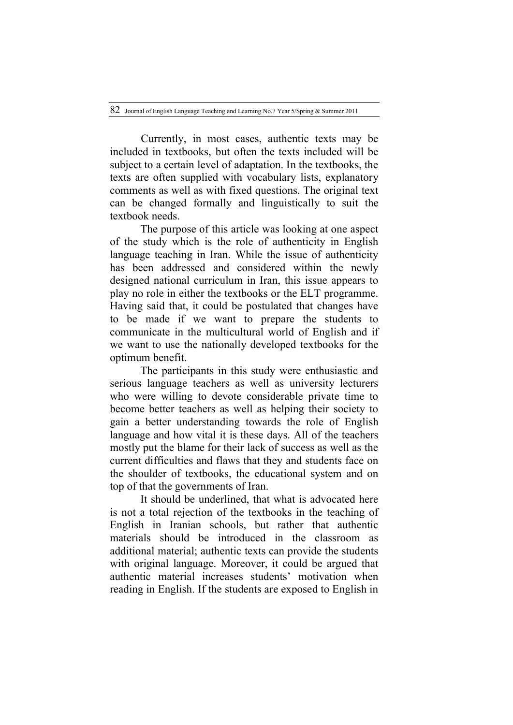Currently, in most cases, authentic texts may be included in textbooks, but often the texts included will be subject to a certain level of adaptation. In the textbooks, the texts are often supplied with vocabulary lists, explanatory comments as well as with fixed questions. The original text can be changed formally and linguistically to suit the textbook needs.

The purpose of this article was looking at one aspect of the study which is the role of authenticity in English language teaching in Iran. While the issue of authenticity has been addressed and considered within the newly designed national curriculum in Iran, this issue appears to play no role in either the textbooks or the ELT programme. Having said that, it could be postulated that changes have to be made if we want to prepare the students to communicate in the multicultural world of English and if we want to use the nationally developed textbooks for the optimum benefit.

The participants in this study were enthusiastic and serious language teachers as well as university lecturers who were willing to devote considerable private time to become better teachers as well as helping their society to gain a better understanding towards the role of English language and how vital it is these days. All of the teachers mostly put the blame for their lack of success as well as the current difficulties and flaws that they and students face on the shoulder of textbooks, the educational system and on top of that the governments of Iran.

It should be underlined, that what is advocated here is not a total rejection of the textbooks in the teaching of English in Iranian schools, but rather that authentic materials should be introduced in the classroom as additional material; authentic texts can provide the students with original language. Moreover, it could be argued that authentic material increases students' motivation when reading in English. If the students are exposed to English in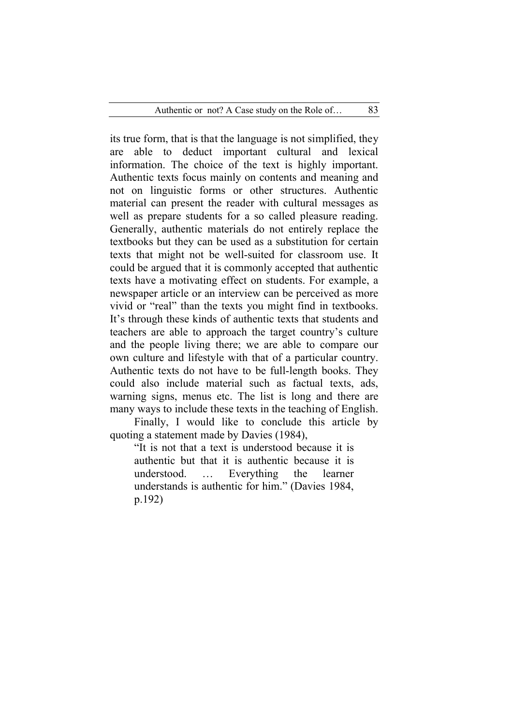its true form, that is that the language is not simplified, they are able to deduct important cultural and lexical information. The choice of the text is highly important. Authentic texts focus mainly on contents and meaning and not on linguistic forms or other structures. Authentic material can present the reader with cultural messages as well as prepare students for a so called pleasure reading. Generally, authentic materials do not entirely replace the textbooks but they can be used as a substitution for certain texts that might not be well-suited for classroom use. It could be argued that it is commonly accepted that authentic texts have a motivating effect on students. For example, a newspaper article or an interview can be perceived as more vivid or "real" than the texts you might find in textbooks. It's through these kinds of authentic texts that students and teachers are able to approach the target country's culture and the people living there; we are able to compare our own culture and lifestyle with that of a particular country. Authentic texts do not have to be full-length books. They could also include material such as factual texts, ads, warning signs, menus etc. The list is long and there are many ways to include these texts in the teaching of English.

Finally, I would like to conclude this article by quoting a statement made by Davies (1984),

"It is not that a text is understood because it is authentic but that it is authentic because it is understood. … Everything the learner understands is authentic for him." (Davies 1984, p.192)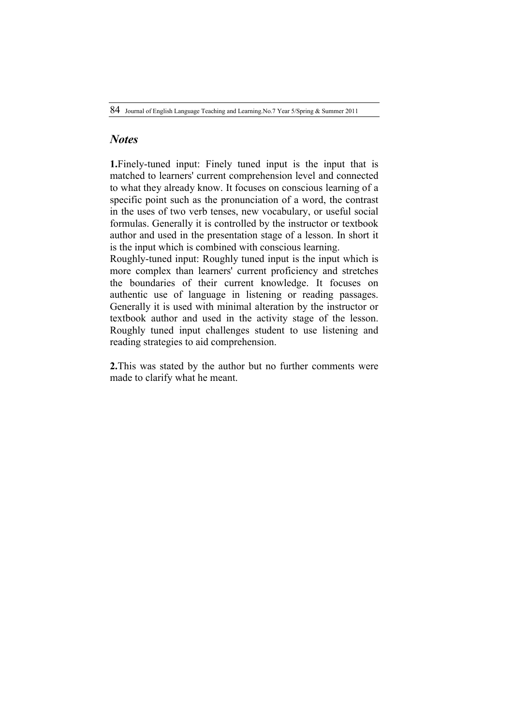# *Notes*

**1.**Finely-tuned input: Finely tuned input is the input that is matched to learners' current comprehension level and connected to what they already know. It focuses on conscious learning of a specific point such as the pronunciation of a word, the contrast in the uses of two verb tenses, new vocabulary, or useful social formulas. Generally it is controlled by the instructor or textbook author and used in the presentation stage of a lesson. In short it is the input which is combined with conscious learning.

Roughly-tuned input: Roughly tuned input is the input which is more complex than learners' current proficiency and stretches the boundaries of their current knowledge. It focuses on authentic use of language in listening or reading passages. Generally it is used with minimal alteration by the instructor or textbook author and used in the activity stage of the lesson. Roughly tuned input challenges student to use listening and reading strategies to aid comprehension.

**2.**This was stated by the author but no further comments were made to clarify what he meant.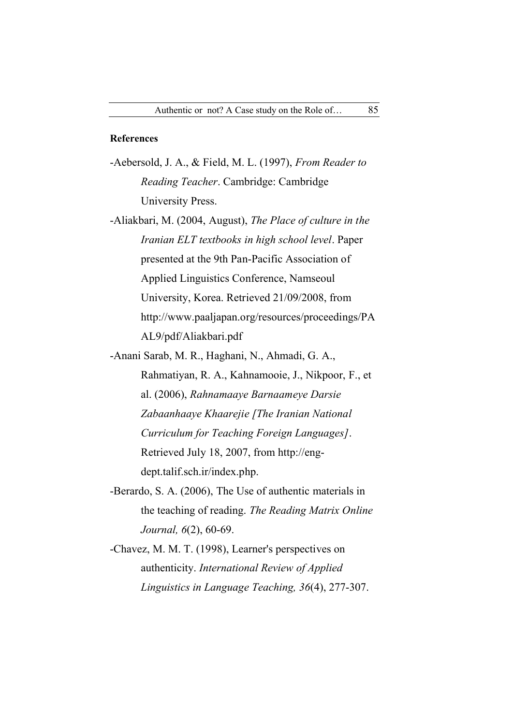## **References**

- -Aebersold, J. A., & Field, M. L. (1997), *From Reader to Reading Teacher*. Cambridge: Cambridge University Press.
- -Aliakbari, M. (2004, August), *The Place of culture in the Iranian ELT textbooks in high school level*. Paper presented at the 9th Pan-Pacific Association of Applied Linguistics Conference, Namseoul University, Korea. Retrieved 21/09/2008, from http://www.paaljapan.org/resources/proceedings/PA AL9/pdf/Aliakbari.pdf

-Anani Sarab, M. R., Haghani, N., Ahmadi, G. A., Rahmatiyan, R. A., Kahnamooie, J., Nikpoor, F., et al. (2006), *Rahnamaaye Barnaameye Darsie Zabaanhaaye Khaarejie [The Iranian National Curriculum for Teaching Foreign Languages]*. Retrieved July 18, 2007, from http://engdept.talif.sch.ir/index.php.

- -Berardo, S. A. (2006), The Use of authentic materials in the teaching of reading. *The Reading Matrix Online Journal, 6*(2), 60-69.
- -Chavez, M. M. T. (1998), Learner's perspectives on authenticity. *International Review of Applied Linguistics in Language Teaching, 36*(4), 277-307.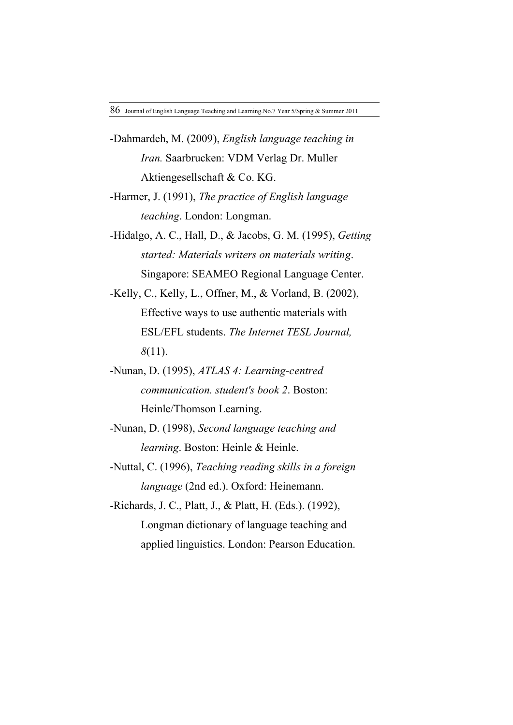- -Dahmardeh, M. (2009), *English language teaching in Iran.* Saarbrucken: VDM Verlag Dr. Muller Aktiengesellschaft & Co. KG.
- -Harmer, J. (1991), *The practice of English language teaching*. London: Longman.
- -Hidalgo, A. C., Hall, D., & Jacobs, G. M. (1995), *Getting started: Materials writers on materials writing*. Singapore: SEAMEO Regional Language Center.
- -Kelly, C., Kelly, L., Offner, M., & Vorland, B. (2002), Effective ways to use authentic materials with ESL/EFL students. *The Internet TESL Journal, 8*(11).
- -Nunan, D. (1995), *ATLAS 4: Learning-centred communication. student's book 2*. Boston: Heinle/Thomson Learning.
- -Nunan, D. (1998), *Second language teaching and learning*. Boston: Heinle & Heinle.
- -Nuttal, C. (1996), *Teaching reading skills in a foreign language* (2nd ed.). Oxford: Heinemann.
- -Richards, J. C., Platt, J., & Platt, H. (Eds.). (1992), Longman dictionary of language teaching and applied linguistics. London: Pearson Education.